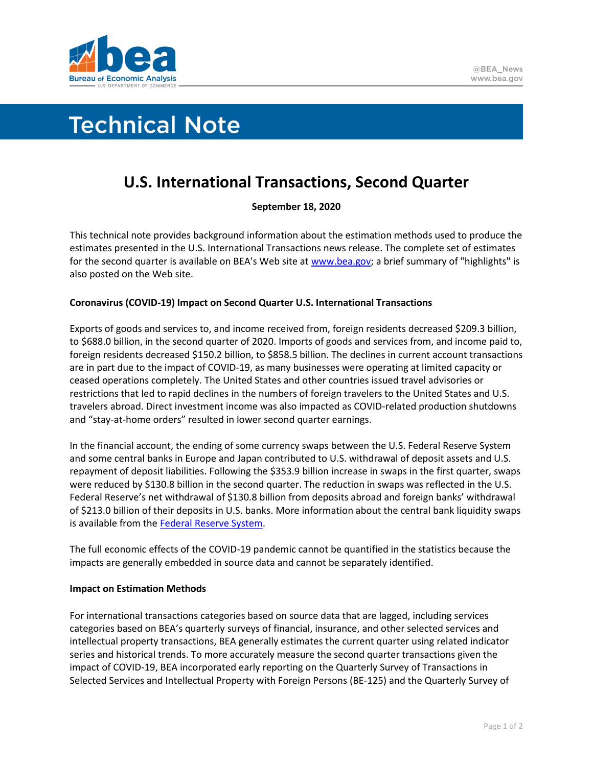

# **Technical Note**

## **U.S. International Transactions, Second Quarter**

### **September 18, 2020**

This technical note provides background information about the estimation methods used to produce the estimates presented in the U.S. International Transactions news release. The complete set of estimates for the second quarter is available on BEA's Web site at [www.bea.gov;](https://www.bea.gov/) a brief summary of "highlights" is also posted on the Web site.

#### **Coronavirus (COVID-19) Impact on Second Quarter U.S. International Transactions**

Exports of goods and services to, and income received from, foreign residents decreased \$209.3 billion, to \$688.0 billion, in the second quarter of 2020. Imports of goods and services from, and income paid to, foreign residents decreased \$150.2 billion, to \$858.5 billion. The declines in current account transactions are in part due to the impact of COVID-19, as many businesses were operating at limited capacity or ceased operations completely. The United States and other countries issued travel advisories or restrictions that led to rapid declines in the numbers of foreign travelers to the United States and U.S. travelers abroad. Direct investment income was also impacted as COVID-related production shutdowns and "stay-at-home orders" resulted in lower second quarter earnings.

In the financial account, the ending of some currency swaps between the U.S. Federal Reserve System and some central banks in Europe and Japan contributed to U.S. withdrawal of deposit assets and U.S. repayment of deposit liabilities. Following the \$353.9 billion increase in swaps in the first quarter, swaps were reduced by \$130.8 billion in the second quarter. The reduction in swaps was reflected in the U.S. Federal Reserve's net withdrawal of \$130.8 billion from deposits abroad and foreign banks' withdrawal of \$213.0 billion of their deposits in U.S. banks. More information about the central bank liquidity swaps is available from the [Federal Reserve System.](https://www.federalreserve.gov/monetarypolicy/central-bank-liquidity-swaps.htm)

The full economic effects of the COVID-19 pandemic cannot be quantified in the statistics because the impacts are generally embedded in source data and cannot be separately identified.

#### **Impact on Estimation Methods**

For international transactions categories based on source data that are lagged, including services categories based on BEA's quarterly surveys of financial, insurance, and other selected services and intellectual property transactions, BEA generally estimates the current quarter using related indicator series and historical trends. To more accurately measure the second quarter transactions given the impact of COVID-19, BEA incorporated early reporting on the Quarterly Survey of Transactions in Selected Services and Intellectual Property with Foreign Persons (BE-125) and the Quarterly Survey of